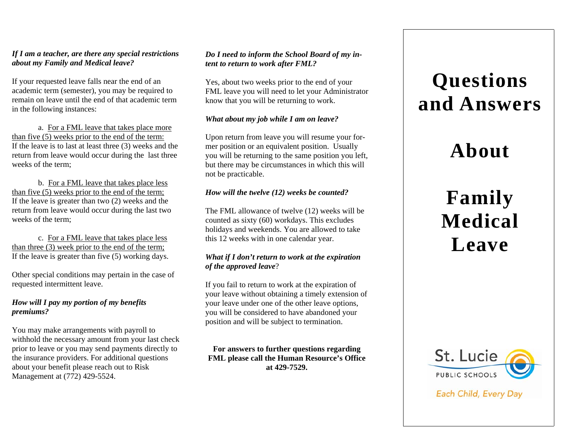#### *If I am a teacher, are there any special restrictions about my Family and Medical leave?*

If your requested leave falls near the end of an academic term (semester), you may be required to remain on leave until the end of that academic term in the following instances:

a. For a FML leave that takes place more than five (5) weeks prior to the end of the term: If the leave is to last at least three (3) weeks and the return from leave would occur during the last three weeks of the term;

b. For a FML leave that takes place less than five (5) weeks prior to the end of the term; If the leave is greater than two (2) weeks and the return from leave would occur during the last two weeks of the term;

c. For a FML leave that takes place less than three (3) week prior to the end of the term; If the leave is greater than five (5) working days.

Other special conditions may pertain in the case of requested intermittent leave.

#### *How will I pay my portion of my benefits premiums?*

You may make arrangements with payroll to withhold the necessary amount from your last check prior to leave or you may send payments directly to the insurance providers. For additional questions about your benefit please reach out to Risk Management at (772) 429-5524.

#### *Do I need to inform the School Board of my intent to return to work after FML?*

Yes, about two weeks prior to the end of your FML leave you will need to let your Administrator know that you will be returning to work.

#### *What about my job while I am on leave?*

Upon return from leave you will resume your for-<br>mer position or an equivalent position. Headly mer position or an equivalent position. Usually you will be returning to the same position you left, but there may be circumstances in which this will not be practicable.

# *How will the twelve (12) weeks be counted?*

The FML allowance of twelve (12) weeks will be counted as sixty (60) workdays. This excludes holidays and weekends. You are allowed to take this 12 weeks with in one calendar year.

#### *What if I don't return to work at the expiration of the approved leave*?

If you fail to return to work at the expiration of your leave without obtaining a timely extension of your leave under one of the other leave options, you will be considered to have abandoned your position and will be subject to termination.

**For answers to further questions regarding FML please call the Human Resource's Officeat 429-7529.** 

# **Questions and Answers**

# **About**

# **Family Medical Leave**



Each Child, Every Day